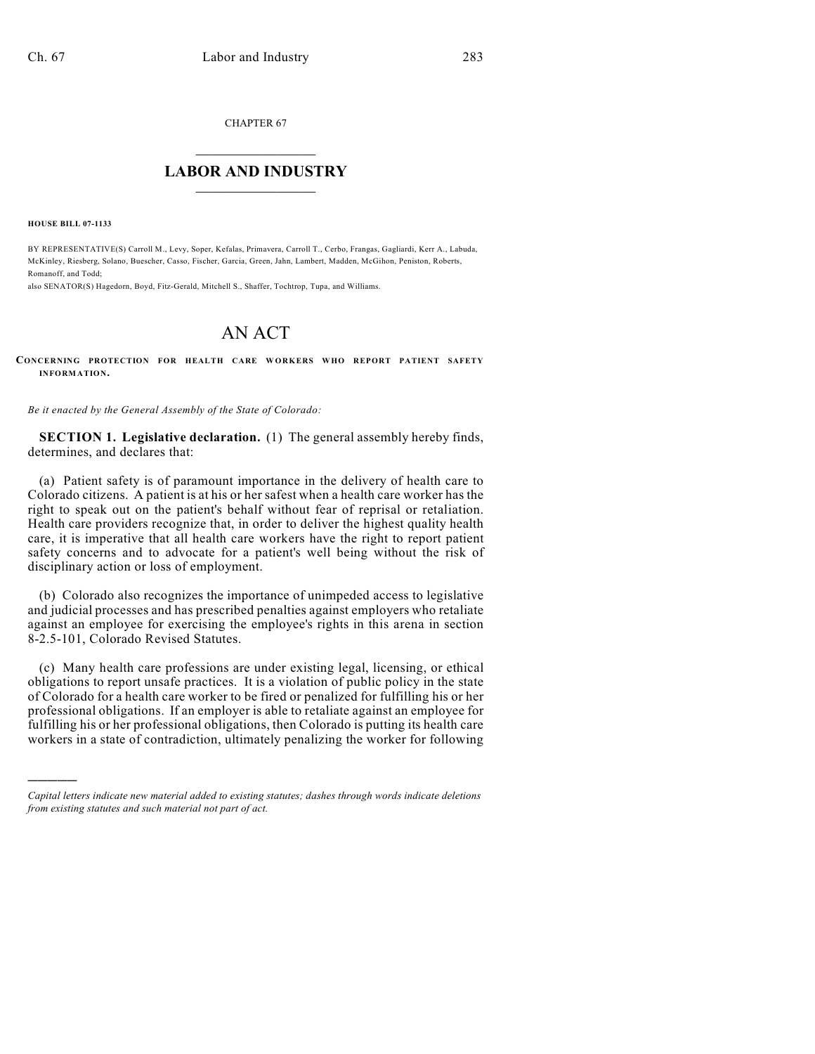CHAPTER 67

## $\mathcal{L}_\text{max}$  . The set of the set of the set of the set of the set of the set of the set of the set of the set of the set of the set of the set of the set of the set of the set of the set of the set of the set of the set **LABOR AND INDUSTRY**  $\frac{1}{\sqrt{2}}$  ,  $\frac{1}{\sqrt{2}}$  ,  $\frac{1}{\sqrt{2}}$  ,  $\frac{1}{\sqrt{2}}$  ,  $\frac{1}{\sqrt{2}}$  ,  $\frac{1}{\sqrt{2}}$

**HOUSE BILL 07-1133**

)))))

BY REPRESENTATIVE(S) Carroll M., Levy, Soper, Kefalas, Primavera, Carroll T., Cerbo, Frangas, Gagliardi, Kerr A., Labuda, McKinley, Riesberg, Solano, Buescher, Casso, Fischer, Garcia, Green, Jahn, Lambert, Madden, McGihon, Peniston, Roberts, Romanoff, and Todd;

also SENATOR(S) Hagedorn, Boyd, Fitz-Gerald, Mitchell S., Shaffer, Tochtrop, Tupa, and Williams.

## AN ACT

**CONCERNING PROTECTION FOR HEALTH CARE WORKERS WHO REPORT PATIENT SAFETY INFORMATION.**

*Be it enacted by the General Assembly of the State of Colorado:*

**SECTION 1. Legislative declaration.** (1) The general assembly hereby finds, determines, and declares that:

(a) Patient safety is of paramount importance in the delivery of health care to Colorado citizens. A patient is at his or her safest when a health care worker has the right to speak out on the patient's behalf without fear of reprisal or retaliation. Health care providers recognize that, in order to deliver the highest quality health care, it is imperative that all health care workers have the right to report patient safety concerns and to advocate for a patient's well being without the risk of disciplinary action or loss of employment.

(b) Colorado also recognizes the importance of unimpeded access to legislative and judicial processes and has prescribed penalties against employers who retaliate against an employee for exercising the employee's rights in this arena in section 8-2.5-101, Colorado Revised Statutes.

(c) Many health care professions are under existing legal, licensing, or ethical obligations to report unsafe practices. It is a violation of public policy in the state of Colorado for a health care worker to be fired or penalized for fulfilling his or her professional obligations. If an employer is able to retaliate against an employee for fulfilling his or her professional obligations, then Colorado is putting its health care workers in a state of contradiction, ultimately penalizing the worker for following

*Capital letters indicate new material added to existing statutes; dashes through words indicate deletions from existing statutes and such material not part of act.*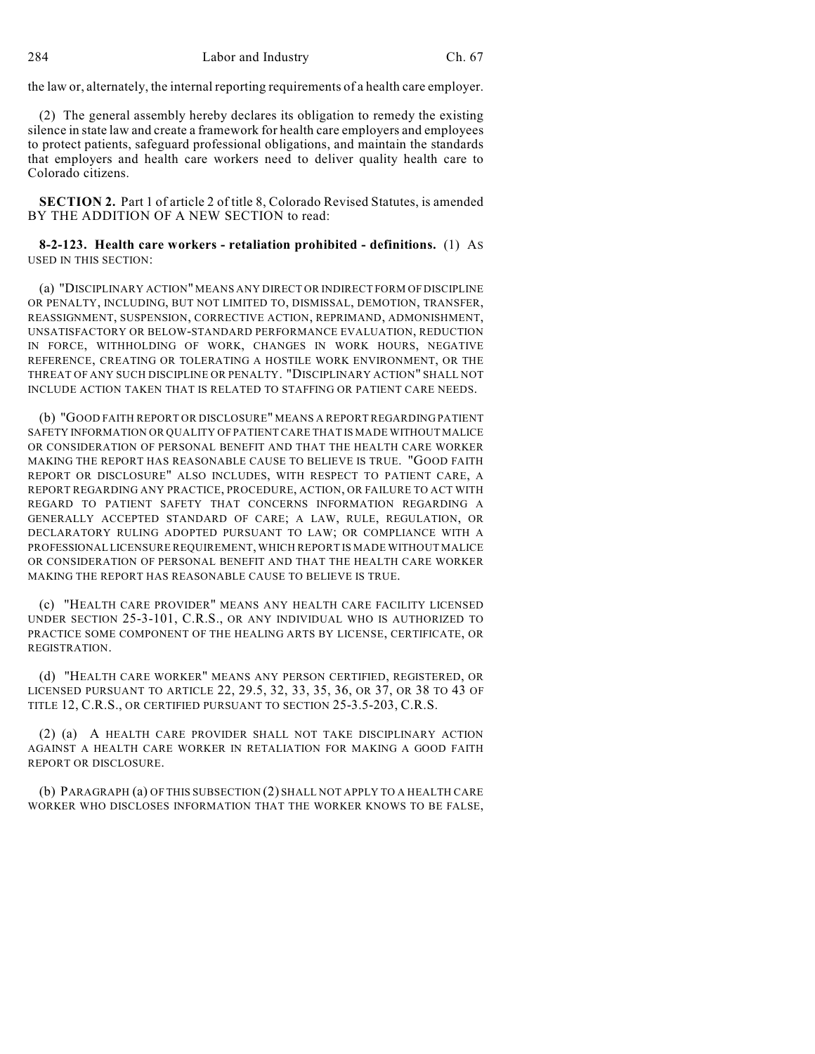the law or, alternately, the internal reporting requirements of a health care employer.

(2) The general assembly hereby declares its obligation to remedy the existing silence in state law and create a framework for health care employers and employees to protect patients, safeguard professional obligations, and maintain the standards that employers and health care workers need to deliver quality health care to Colorado citizens.

**SECTION 2.** Part 1 of article 2 of title 8, Colorado Revised Statutes, is amended BY THE ADDITION OF A NEW SECTION to read:

## **8-2-123. Health care workers - retaliation prohibited - definitions.** (1) AS USED IN THIS SECTION:

(a) "DISCIPLINARY ACTION" MEANS ANY DIRECT OR INDIRECT FORM OF DISCIPLINE OR PENALTY, INCLUDING, BUT NOT LIMITED TO, DISMISSAL, DEMOTION, TRANSFER, REASSIGNMENT, SUSPENSION, CORRECTIVE ACTION, REPRIMAND, ADMONISHMENT, UNSATISFACTORY OR BELOW-STANDARD PERFORMANCE EVALUATION, REDUCTION IN FORCE, WITHHOLDING OF WORK, CHANGES IN WORK HOURS, NEGATIVE REFERENCE, CREATING OR TOLERATING A HOSTILE WORK ENVIRONMENT, OR THE THREAT OF ANY SUCH DISCIPLINE OR PENALTY. "DISCIPLINARY ACTION" SHALL NOT INCLUDE ACTION TAKEN THAT IS RELATED TO STAFFING OR PATIENT CARE NEEDS.

(b) "GOOD FAITH REPORT OR DISCLOSURE" MEANS A REPORT REGARDING PATIENT SAFETY INFORMATION OR QUALITY OF PATIENT CARE THAT IS MADE WITHOUT MALICE OR CONSIDERATION OF PERSONAL BENEFIT AND THAT THE HEALTH CARE WORKER MAKING THE REPORT HAS REASONABLE CAUSE TO BELIEVE IS TRUE. "GOOD FAITH REPORT OR DISCLOSURE" ALSO INCLUDES, WITH RESPECT TO PATIENT CARE, A REPORT REGARDING ANY PRACTICE, PROCEDURE, ACTION, OR FAILURE TO ACT WITH REGARD TO PATIENT SAFETY THAT CONCERNS INFORMATION REGARDING A GENERALLY ACCEPTED STANDARD OF CARE; A LAW, RULE, REGULATION, OR DECLARATORY RULING ADOPTED PURSUANT TO LAW; OR COMPLIANCE WITH A PROFESSIONAL LICENSURE REQUIREMENT, WHICH REPORT IS MADE WITHOUT MALICE OR CONSIDERATION OF PERSONAL BENEFIT AND THAT THE HEALTH CARE WORKER MAKING THE REPORT HAS REASONABLE CAUSE TO BELIEVE IS TRUE.

(c) "HEALTH CARE PROVIDER" MEANS ANY HEALTH CARE FACILITY LICENSED UNDER SECTION 25-3-101, C.R.S., OR ANY INDIVIDUAL WHO IS AUTHORIZED TO PRACTICE SOME COMPONENT OF THE HEALING ARTS BY LICENSE, CERTIFICATE, OR REGISTRATION.

(d) "HEALTH CARE WORKER" MEANS ANY PERSON CERTIFIED, REGISTERED, OR LICENSED PURSUANT TO ARTICLE 22, 29.5, 32, 33, 35, 36, OR 37, OR 38 TO 43 OF TITLE 12, C.R.S., OR CERTIFIED PURSUANT TO SECTION 25-3.5-203, C.R.S.

(2) (a) A HEALTH CARE PROVIDER SHALL NOT TAKE DISCIPLINARY ACTION AGAINST A HEALTH CARE WORKER IN RETALIATION FOR MAKING A GOOD FAITH REPORT OR DISCLOSURE.

(b) PARAGRAPH (a) OF THIS SUBSECTION (2) SHALL NOT APPLY TO A HEALTH CARE WORKER WHO DISCLOSES INFORMATION THAT THE WORKER KNOWS TO BE FALSE,